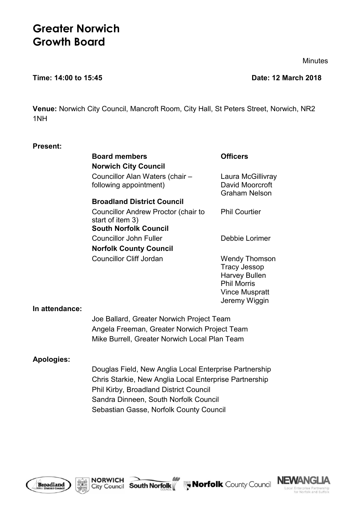# **Greater Norwich Growth Board**

**Minutes** 

#### **Time: 14:00 to 15:45 Date: 12 March 2018**

**Venue:** Norwich City Council, Mancroft Room, City Hall, St Peters Street, Norwich, NR2 1NH

# **Present:**

| <b>Board members</b>                                      | <b>Officers</b>                                                             |
|-----------------------------------------------------------|-----------------------------------------------------------------------------|
| <b>Norwich City Council</b>                               |                                                                             |
| Councillor Alan Waters (chair -<br>following appointment) | Laura McGillivray<br>David Moorcroft<br><b>Graham Nelson</b>                |
| <b>Broadland District Council</b>                         |                                                                             |
| Councillor Andrew Proctor (chair to<br>start of item 3)   | <b>Phil Courtier</b>                                                        |
| <b>South Norfolk Council</b>                              |                                                                             |
| <b>Councillor John Fuller</b>                             | Debbie Lorimer                                                              |
| <b>Norfolk County Council</b>                             |                                                                             |
| <b>Councillor Cliff Jordan</b>                            | Wendy Thomson<br><b>Tracy Jessop</b><br><b>Harvey Bullen</b><br>Phil Morris |

#### **In attendance:**

Joe Ballard, Greater Norwich Project Team Angela Freeman, Greater Norwich Project Team Mike Burrell, Greater Norwich Local Plan Team

#### **Apologies:**

Douglas Field, New Anglia Local Enterprise Partnership Chris Starkie, New Anglia Local Enterprise Partnership Phil Kirby, Broadland District Council Sandra Dinneen, South Norfolk Council Sebastian Gasse, Norfolk County Council







Vince Muspratt Jeremy Wiggin

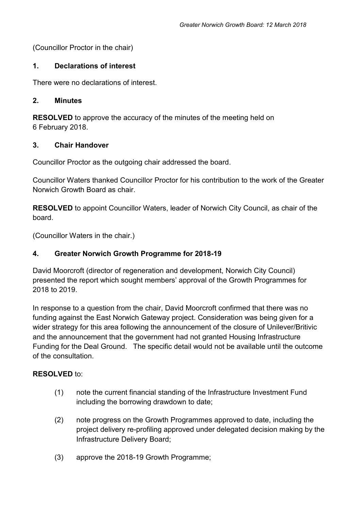(Councillor Proctor in the chair)

# **1. Declarations of interest**

There were no declarations of interest.

# **2. Minutes**

**RESOLVED** to approve the accuracy of the minutes of the meeting held on 6 February 2018.

# **3. Chair Handover**

Councillor Proctor as the outgoing chair addressed the board.

Councillor Waters thanked Councillor Proctor for his contribution to the work of the Greater Norwich Growth Board as chair.

**RESOLVED** to appoint Councillor Waters, leader of Norwich City Council, as chair of the board.

(Councillor Waters in the chair.)

# **4. Greater Norwich Growth Programme for 2018-19**

David Moorcroft (director of regeneration and development, Norwich City Council) presented the report which sought members' approval of the Growth Programmes for 2018 to 2019.

In response to a question from the chair, David Moorcroft confirmed that there was no funding against the East Norwich Gateway project. Consideration was being given for a wider strategy for this area following the announcement of the closure of Unilever/Britivic and the announcement that the government had not granted Housing Infrastructure Funding for the Deal Ground. The specific detail would not be available until the outcome of the consultation.

# **RESOLVED** to:

- (1) note the current financial standing of the Infrastructure Investment Fund including the borrowing drawdown to date;
- (2) note progress on the Growth Programmes approved to date, including the project delivery re-profiling approved under delegated decision making by the Infrastructure Delivery Board;
- (3) approve the 2018-19 Growth Programme;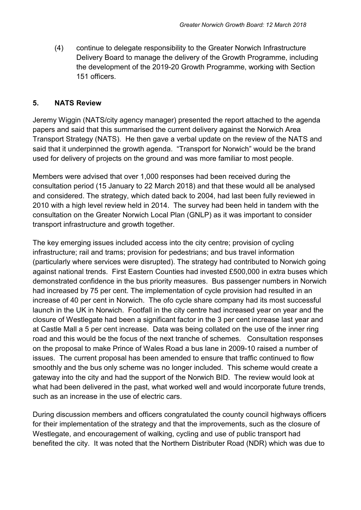(4) continue to delegate responsibility to the Greater Norwich Infrastructure Delivery Board to manage the delivery of the Growth Programme, including the development of the 2019-20 Growth Programme, working with Section 151 officers.

# **5. NATS Review**

Jeremy Wiggin (NATS/city agency manager) presented the report attached to the agenda papers and said that this summarised the current delivery against the Norwich Area Transport Strategy (NATS). He then gave a verbal update on the review of the NATS and said that it underpinned the growth agenda. "Transport for Norwich" would be the brand used for delivery of projects on the ground and was more familiar to most people.

Members were advised that over 1,000 responses had been received during the consultation period (15 January to 22 March 2018) and that these would all be analysed and considered. The strategy, which dated back to 2004, had last been fully reviewed in 2010 with a high level review held in 2014. The survey had been held in tandem with the consultation on the Greater Norwich Local Plan (GNLP) as it was important to consider transport infrastructure and growth together.

The key emerging issues included access into the city centre; provision of cycling infrastructure; rail and trams; provision for pedestrians; and bus travel information (particularly where services were disrupted). The strategy had contributed to Norwich going against national trends. First Eastern Counties had invested £500,000 in extra buses which demonstrated confidence in the bus priority measures. Bus passenger numbers in Norwich had increased by 75 per cent. The implementation of cycle provision had resulted in an increase of 40 per cent in Norwich. The ofo cycle share company had its most successful launch in the UK in Norwich. Footfall in the city centre had increased year on year and the closure of Westlegate had been a significant factor in the 3 per cent increase last year and at Castle Mall a 5 per cent increase. Data was being collated on the use of the inner ring road and this would be the focus of the next tranche of schemes. Consultation responses on the proposal to make Prince of Wales Road a bus lane in 2009-10 raised a number of issues. The current proposal has been amended to ensure that traffic continued to flow smoothly and the bus only scheme was no longer included. This scheme would create a gateway into the city and had the support of the Norwich BID. The review would look at what had been delivered in the past, what worked well and would incorporate future trends, such as an increase in the use of electric cars.

During discussion members and officers congratulated the county council highways officers for their implementation of the strategy and that the improvements, such as the closure of Westlegate, and encouragement of walking, cycling and use of public transport had benefited the city. It was noted that the Northern Distributer Road (NDR) which was due to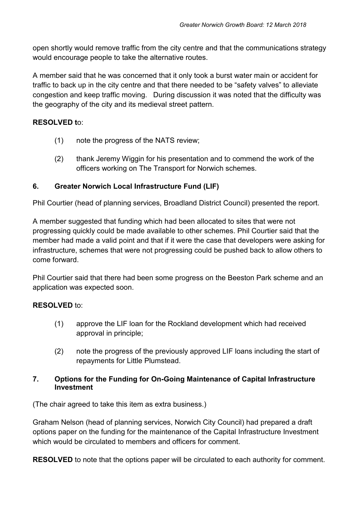open shortly would remove traffic from the city centre and that the communications strategy would encourage people to take the alternative routes.

A member said that he was concerned that it only took a burst water main or accident for traffic to back up in the city centre and that there needed to be "safety valves" to alleviate congestion and keep traffic moving. During discussion it was noted that the difficulty was the geography of the city and its medieval street pattern.

# **RESOLVED t**o:

- (1) note the progress of the NATS review;
- (2) thank Jeremy Wiggin for his presentation and to commend the work of the officers working on The Transport for Norwich schemes.

# **6. Greater Norwich Local Infrastructure Fund (LIF)**

Phil Courtier (head of planning services, Broadland District Council) presented the report.

A member suggested that funding which had been allocated to sites that were not progressing quickly could be made available to other schemes. Phil Courtier said that the member had made a valid point and that if it were the case that developers were asking for infrastructure, schemes that were not progressing could be pushed back to allow others to come forward.

Phil Courtier said that there had been some progress on the Beeston Park scheme and an application was expected soon.

# **RESOLVED** to:

- (1) approve the LIF loan for the Rockland development which had received approval in principle;
- (2) note the progress of the previously approved LIF loans including the start of repayments for Little Plumstead.

# **7. Options for the Funding for On-Going Maintenance of Capital Infrastructure Investment**

(The chair agreed to take this item as extra business.)

Graham Nelson (head of planning services, Norwich City Council) had prepared a draft options paper on the funding for the maintenance of the Capital Infrastructure Investment which would be circulated to members and officers for comment.

**RESOLVED** to note that the options paper will be circulated to each authority for comment.